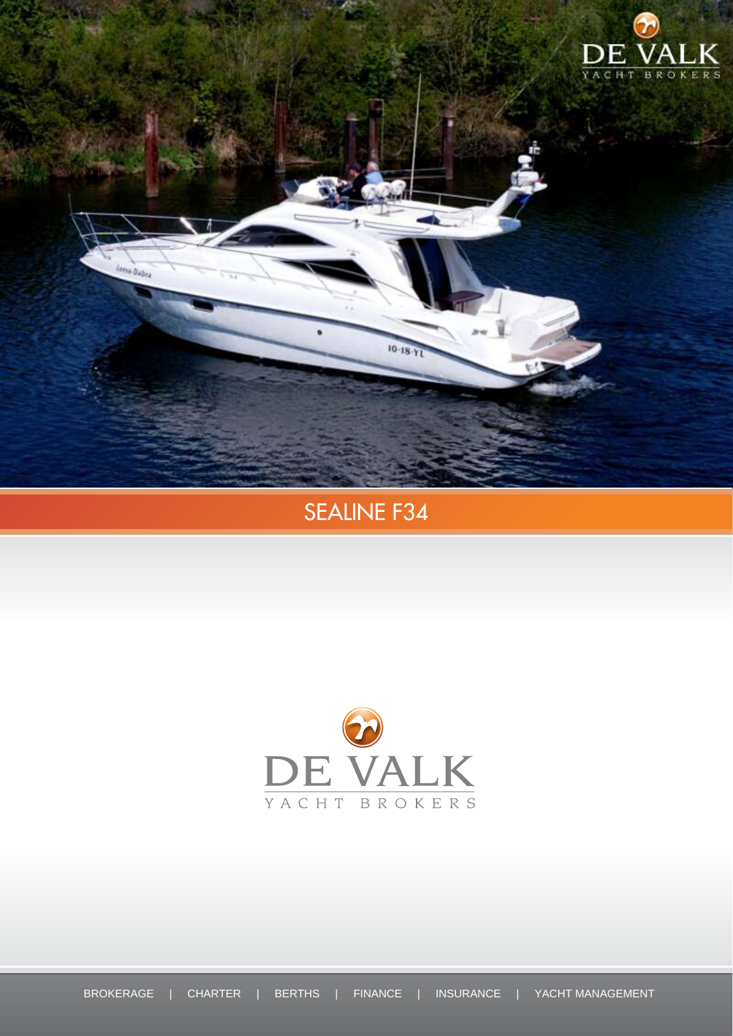

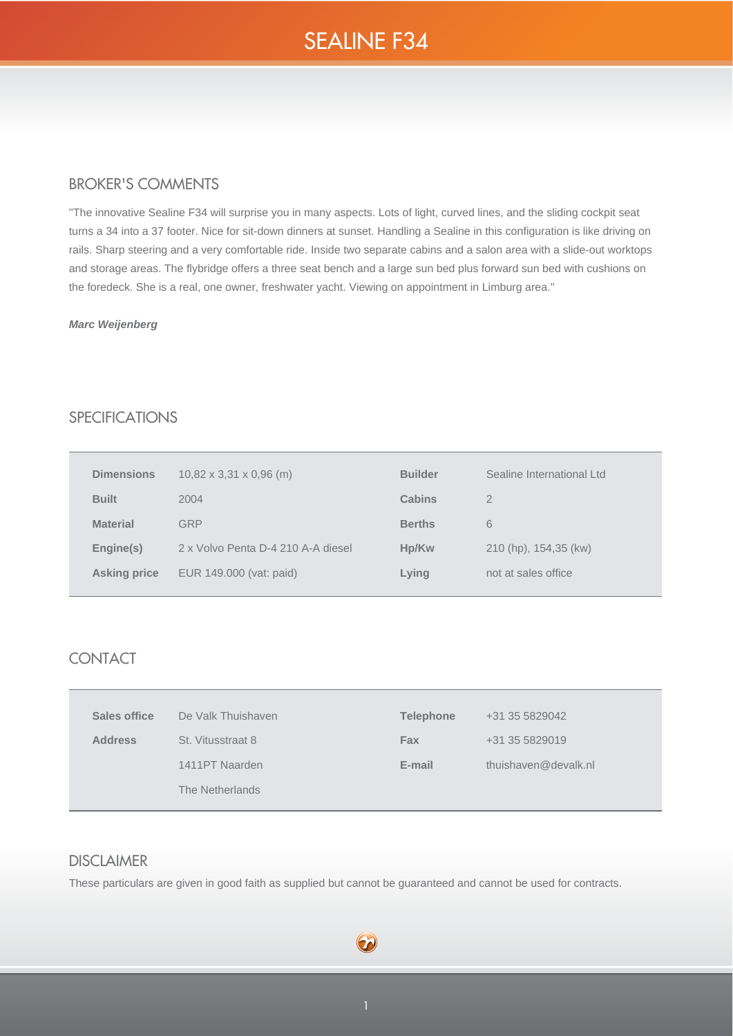#### **BROKER'S COMMENTS**

''The innovative Sealine F34 will surprise you in many aspects. Lots of light, curved lines, and the sliding cockpit seat turns a 34 into a 37 footer. Nice for sit-down dinners at sunset. Handling a Sealine in this configuration is like driving on rails. Sharp steering and a very comfortable ride. Inside two separate cabins and a salon area with a slide-out worktops and storage areas. The flybridge offers a three seat bench and a large sun bed plus forward sun bed with cushions on the foredeck. She is a real, one owner, freshwater yacht. Viewing on appointment in Limburg area.''

#### **Marc Weijenberg**

#### **SPECIFICATIONS**

| <b>Dimensions</b>   | $10,82 \times 3,31 \times 0,96$ (m) | <b>Builder</b> | Sealine International Ltd |
|---------------------|-------------------------------------|----------------|---------------------------|
| <b>Built</b>        | 2004                                | Cabins         | 2                         |
| <b>Material</b>     | GRP                                 | <b>Berths</b>  | 6                         |
| Engine(s)           | 2 x Volvo Penta D-4 210 A-A diesel  | Hp/Kw          | 210 (hp), 154,35 (kw)     |
| <b>Asking price</b> | EUR 149.000 (vat: paid)             | Lying          | not at sales office       |
|                     |                                     |                |                           |

#### **CONTACT**

| Sales office   | De Valk Thuishaven | <b>Telephone</b> | +31 35 5829042       |
|----------------|--------------------|------------------|----------------------|
| <b>Address</b> | St. Vitusstraat 8  | <b>Fax</b>       | +31 35 5829019       |
|                | 1411PT Naarden     | E-mail           | thuishaven@devalk.nl |
|                | The Netherlands    |                  |                      |

#### **DISCLAIMER**

These particulars are given in good faith as supplied but cannot be guaranteed and cannot be used for contracts.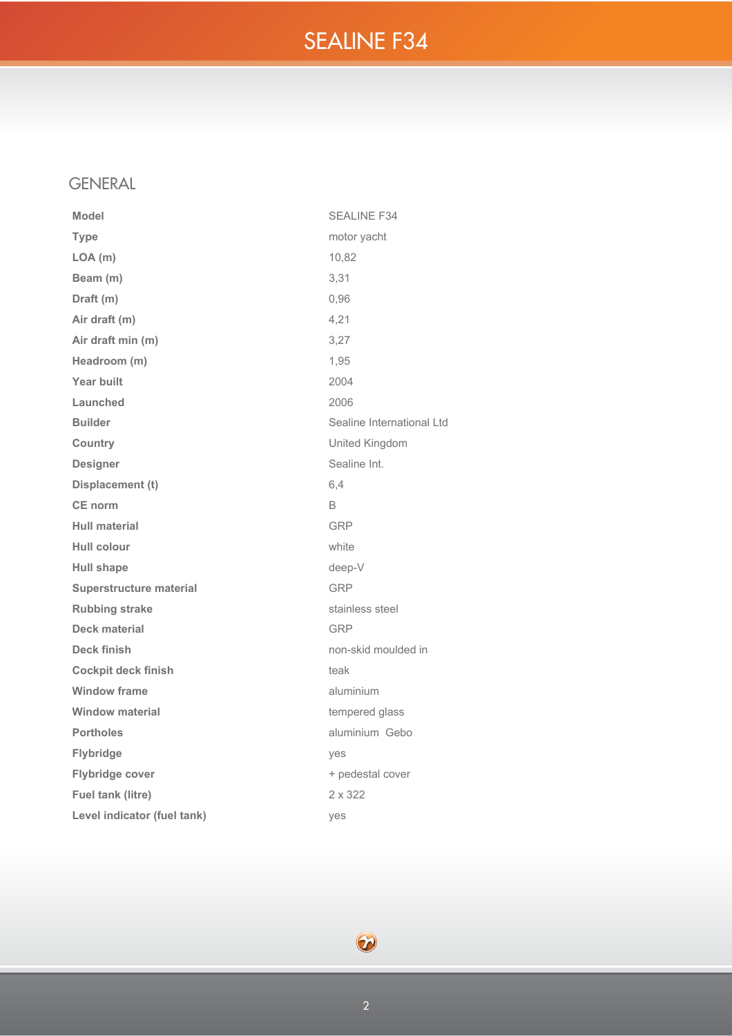### **GENERAL**

| <b>Model</b>                   | <b>SEALINE F34</b>        |
|--------------------------------|---------------------------|
| <b>Type</b>                    | motor yacht               |
| $LOA$ (m)                      | 10,82                     |
| Beam (m)                       | 3,31                      |
| Draft (m)                      | 0.96                      |
| Air draft (m)                  | 4,21                      |
| Air draft min (m)              | 3,27                      |
| Headroom (m)                   | 1,95                      |
| <b>Year built</b>              | 2004                      |
| Launched                       | 2006                      |
| <b>Builder</b>                 | Sealine International Ltd |
| Country                        | United Kingdom            |
| <b>Designer</b>                | Sealine Int.              |
| Displacement (t)               | 6.4                       |
| <b>CE</b> norm                 | <sub>B</sub>              |
| Hull material                  | GRP                       |
| <b>Hull colour</b>             | white                     |
| <b>Hull shape</b>              | deep-V                    |
| <b>Superstructure material</b> | <b>GRP</b>                |
| <b>Rubbing strake</b>          | stainless steel           |
| Deck material                  | GRP                       |
| Deck finish                    | non-skid moulded in       |
| <b>Cockpit deck finish</b>     | teak                      |
| <b>Window frame</b>            | aluminium                 |
| <b>Window material</b>         | tempered glass            |
| <b>Portholes</b>               | aluminium Gebo            |
| Flybridge                      | yes                       |
| Flybridge cover                | + pedestal cover          |
| Fuel tank (litre)              | 2 x 322                   |
| Level indicator (fuel tank)    | yes                       |

 $\odot$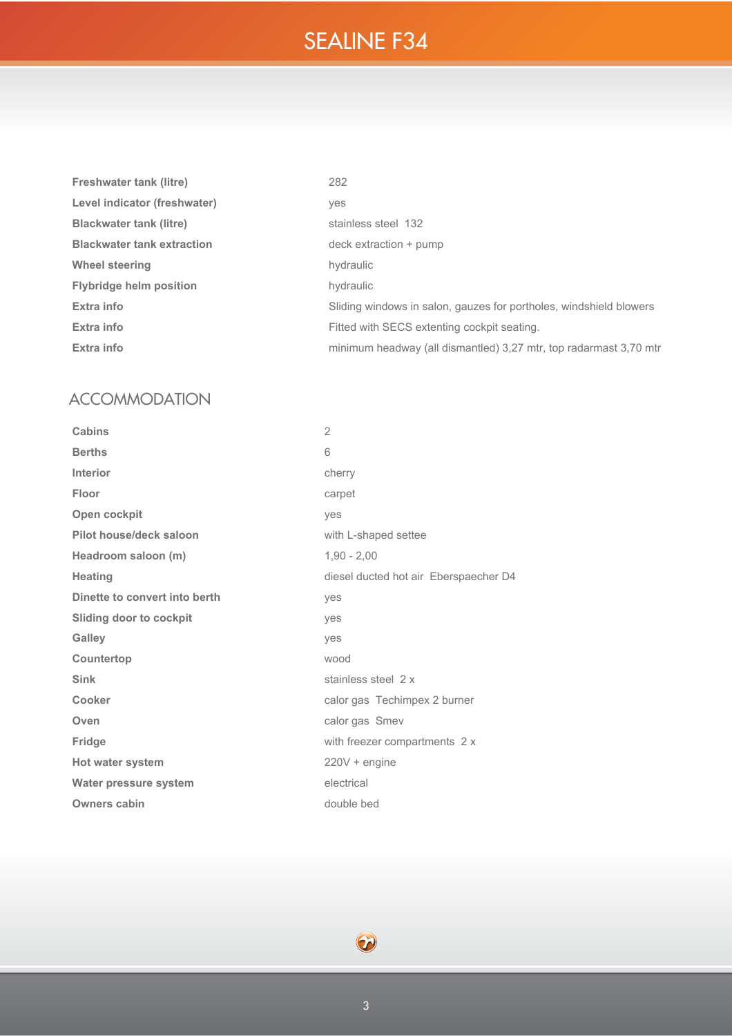| <b>Freshwater tank (litre)</b>    | 282                                                                |
|-----------------------------------|--------------------------------------------------------------------|
| Level indicator (freshwater)      | <b>ves</b>                                                         |
| <b>Blackwater tank (litre)</b>    | stainless steel 132                                                |
| <b>Blackwater tank extraction</b> | $deck$ extraction $+$ pump                                         |
| <b>Wheel steering</b>             | hydraulic                                                          |
| <b>Flybridge helm position</b>    | hydraulic                                                          |
| Extra info                        | Sliding windows in salon, gauzes for portholes, windshield blowers |
| Extra info                        | Fitted with SECS extenting cockpit seating.                        |
| Extra info                        | minimum headway (all dismantled) 3,27 mtr, top radarmast 3,70 mtr  |

### **ACCOMMODATION**

| Cabins                         | $\overline{2}$                        |
|--------------------------------|---------------------------------------|
| <b>Berths</b>                  | 6                                     |
| Interior                       | cherry                                |
| Floor                          | carpet                                |
| Open cockpit                   | ves                                   |
| Pilot house/deck saloon        | with L-shaped settee                  |
| Headroom saloon (m)            | $1,90 - 2,00$                         |
| <b>Heating</b>                 | diesel ducted hot air Eberspaecher D4 |
| Dinette to convert into berth  | yes                                   |
| <b>Sliding door to cockpit</b> | yes                                   |
| <b>Galley</b>                  | yes                                   |
| Countertop                     | wood                                  |
| <b>Sink</b>                    | stainless steel 2 x                   |
| Cooker                         | calor gas Techimpex 2 burner          |
| Oven                           | calor gas Smev                        |
| <b>Fridge</b>                  | with freezer compartments 2 x         |
| <b>Hot water system</b>        | $220V + engine$                       |
| Water pressure system          | electrical                            |
| Owners cabin                   | double bed                            |
|                                |                                       |

 $\bigcirc$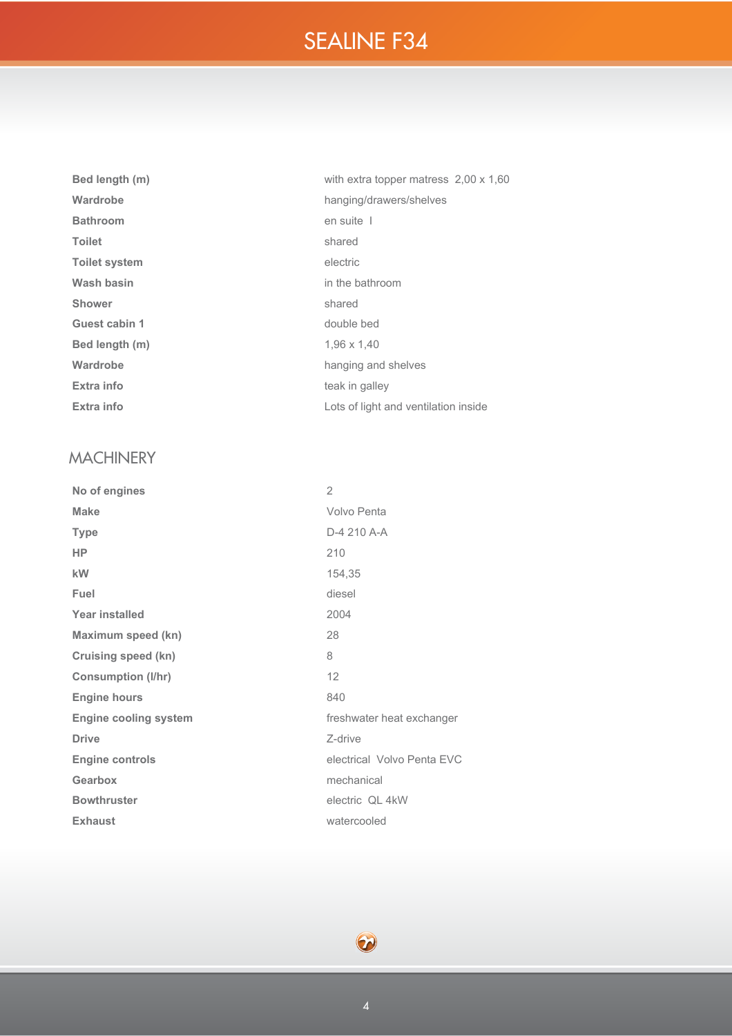| Bed length (m)       | with extra topper matress $2,00 \times 1,60$ |
|----------------------|----------------------------------------------|
| Wardrobe             | hanging/drawers/shelves                      |
| <b>Bathroom</b>      | en suite                                     |
| <b>Toilet</b>        | shared                                       |
| <b>Toilet system</b> | electric                                     |
| Wash basin           | in the bathroom                              |
| <b>Shower</b>        | shared                                       |
| Guest cabin 1        | double bed                                   |
| Bed length (m)       | 1,96 x 1,40                                  |
| Wardrobe             | hanging and shelves                          |
| Extra info           | teak in galley                               |
| Extra info           | Lots of light and ventilation inside         |

#### **MACHINERY**

| No of engines                | $\overline{2}$             |
|------------------------------|----------------------------|
| <b>Make</b>                  | Volvo Penta                |
| <b>Type</b>                  | D-4 210 A-A                |
| HP                           | 210                        |
| kW                           | 154,35                     |
| Fuel                         | diesel                     |
| Year installed               | 2004                       |
| Maximum speed (kn)           | 28                         |
| <b>Cruising speed (kn)</b>   | 8                          |
| <b>Consumption (I/hr)</b>    | 12                         |
| <b>Engine hours</b>          | 840                        |
| <b>Engine cooling system</b> | freshwater heat exchanger  |
| <b>Drive</b>                 | Z-drive                    |
| <b>Engine controls</b>       | electrical Volvo Penta EVC |
| Gearbox                      | mechanical                 |
| <b>Bowthruster</b>           | electric QL 4kW            |
| <b>Exhaust</b>               | watercooled                |

 $\odot$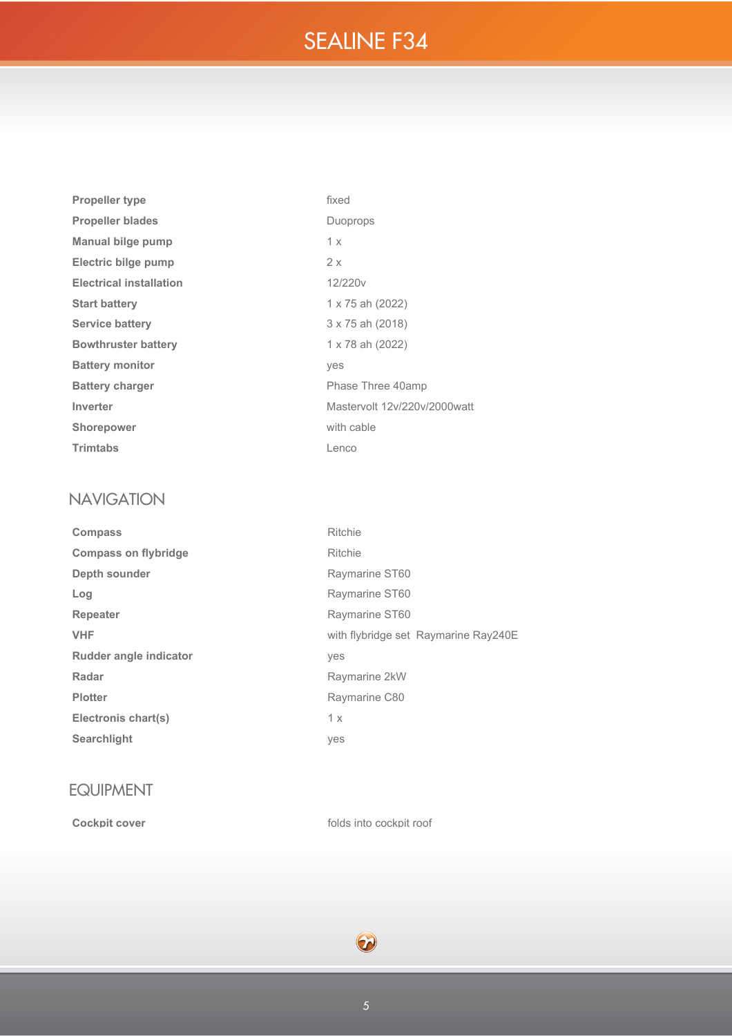| <b>Propeller type</b>          | fixed                        |
|--------------------------------|------------------------------|
| <b>Propeller blades</b>        | Duoprops                     |
| Manual bilge pump              | 1 x                          |
| Electric bilge pump            | 2x                           |
| <b>Electrical installation</b> | 12/220 <sub>v</sub>          |
| <b>Start battery</b>           | 1 x 75 ah (2022)             |
| <b>Service battery</b>         | $3 \times 75$ ah (2018)      |
| <b>Bowthruster battery</b>     | 1 x 78 ah (2022)             |
| <b>Battery monitor</b>         | yes                          |
| <b>Battery charger</b>         | Phase Three 40amp            |
| Inverter                       | Mastervolt 12v/220v/2000watt |
| <b>Shorepower</b>              | with cable                   |
| <b>Trimtabs</b>                | Lenco                        |

### **NAVIGATION**

| Ritchie                              |
|--------------------------------------|
| Ritchie                              |
| Raymarine ST60                       |
| Raymarine ST60                       |
| Raymarine ST60                       |
| with flybridge set Raymarine Ray240E |
| yes                                  |
| Raymarine 2kW                        |
| Raymarine C80                        |
| 1x                                   |
| yes                                  |
|                                      |

### **EQUIPMENT**

**Cockpit cover folds into cockpit roof**

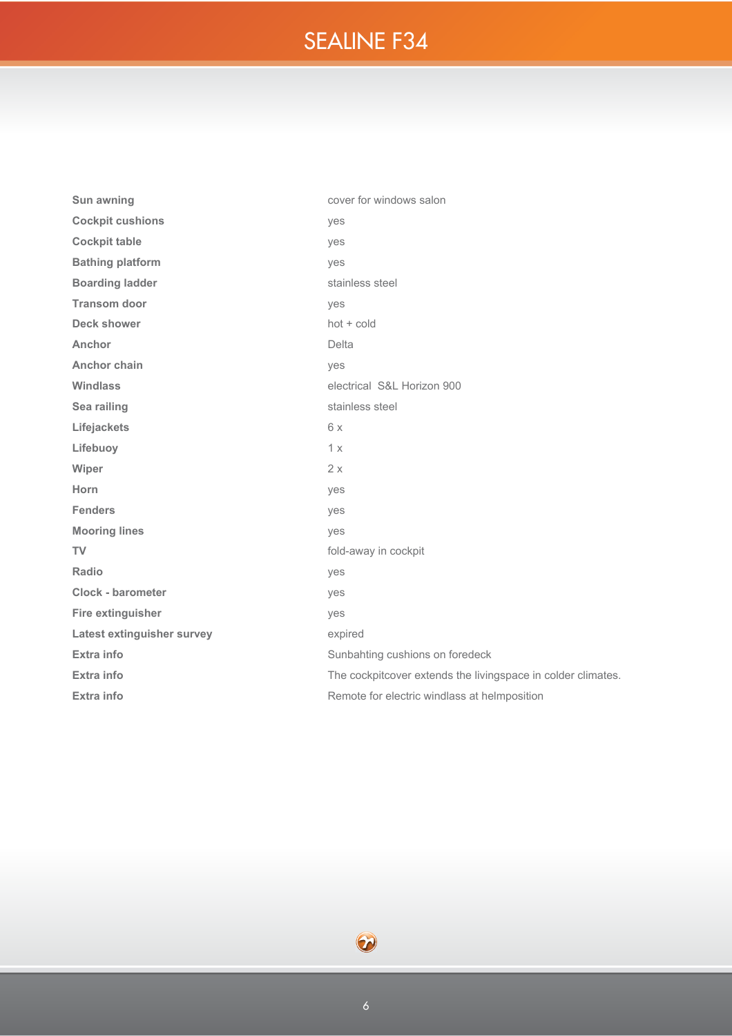| Sun awning                 | cover for windows salon                                      |
|----------------------------|--------------------------------------------------------------|
| <b>Cockpit cushions</b>    | ves                                                          |
| <b>Cockpit table</b>       | yes                                                          |
| <b>Bathing platform</b>    | yes                                                          |
| <b>Boarding ladder</b>     | stainless steel                                              |
| <b>Transom door</b>        | yes                                                          |
| Deck shower                | $hot + cold$                                                 |
| Anchor                     | Delta                                                        |
| Anchor chain               | yes                                                          |
| Windlass                   | electrical S&L Horizon 900                                   |
| Sea railing                | stainless steel                                              |
| Lifejackets                | 6x                                                           |
| Lifebuoy                   | 1 x                                                          |
| Wiper                      | 2x                                                           |
| Horn                       | yes                                                          |
| <b>Fenders</b>             | yes                                                          |
| <b>Mooring lines</b>       | yes                                                          |
| <b>TV</b>                  | fold-away in cockpit                                         |
| Radio                      | yes                                                          |
| <b>Clock - barometer</b>   | yes                                                          |
| Fire extinguisher          | yes                                                          |
| Latest extinguisher survey | expired                                                      |
| Extra info                 | Sunbahting cushions on foredeck                              |
| <b>Extra info</b>          | The cockpitcover extends the livingspace in colder climates. |
| Extra info                 | Remote for electric windlass at helmposition                 |

 $\bullet$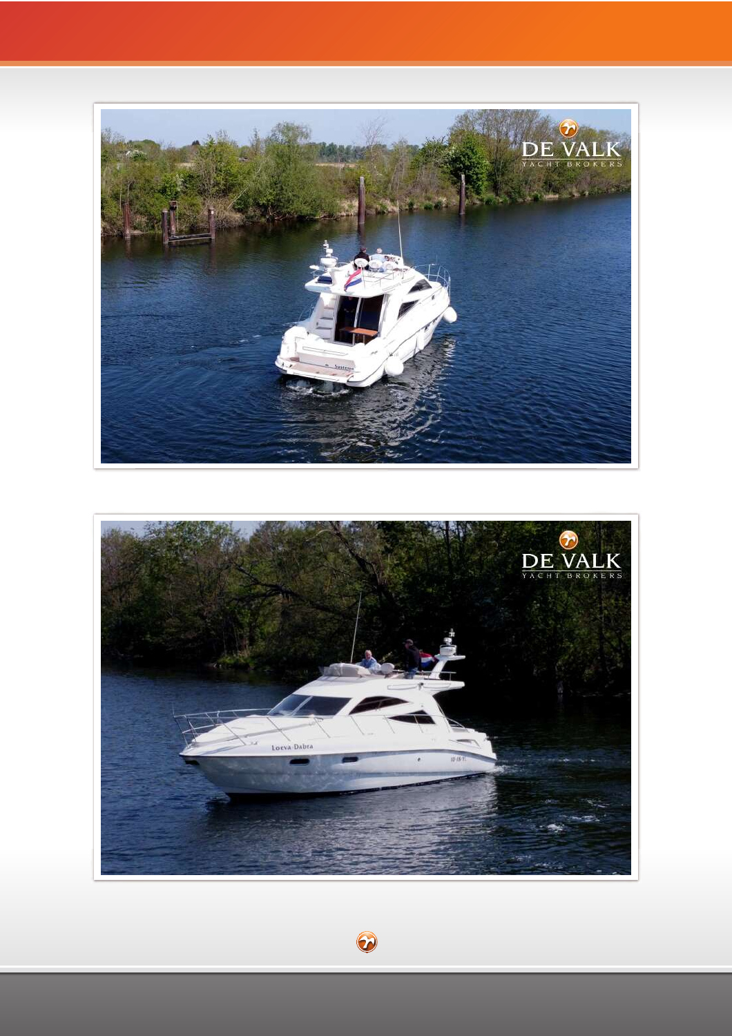# $6($  \$  $/$  , 1 ( )



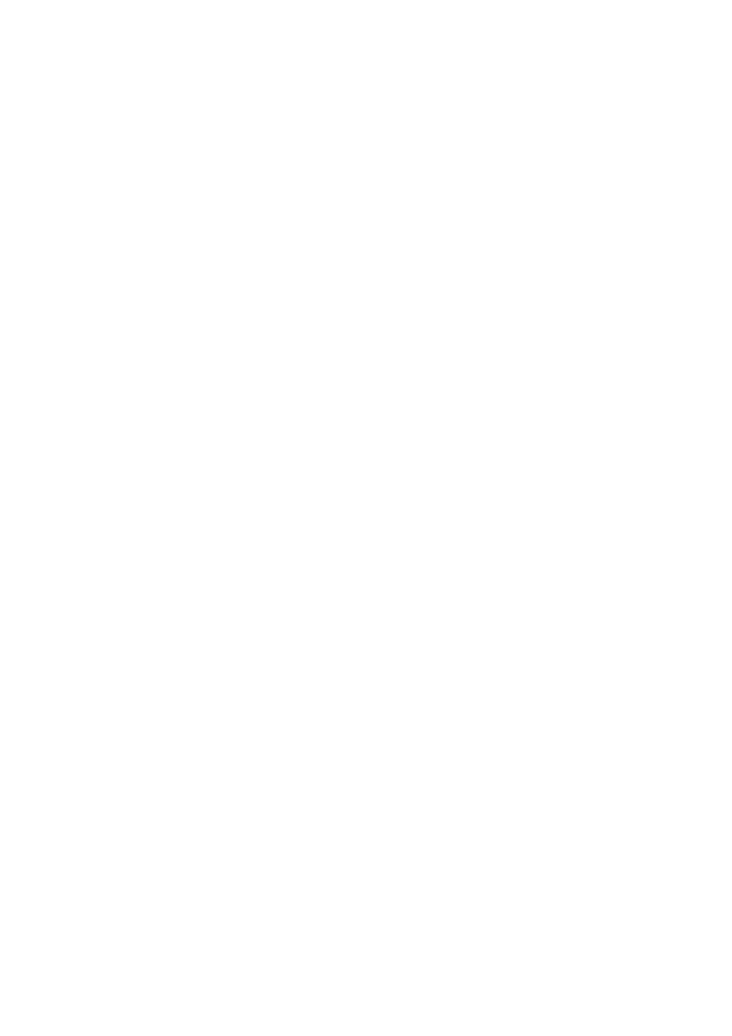| ---- |  |
|------|--|
|      |  |
|      |  |
|      |  |
|      |  |
|      |  |
|      |  |
|      |  |
|      |  |
|      |  |
|      |  |
|      |  |
|      |  |
|      |  |
|      |  |
|      |  |
|      |  |
|      |  |
|      |  |
|      |  |
|      |  |
|      |  |
|      |  |
|      |  |
|      |  |
|      |  |
|      |  |
|      |  |
|      |  |
|      |  |
|      |  |
|      |  |
|      |  |
|      |  |
|      |  |
|      |  |
|      |  |
|      |  |
|      |  |
|      |  |
|      |  |
|      |  |
|      |  |
|      |  |
|      |  |
|      |  |
|      |  |
|      |  |
|      |  |
|      |  |
|      |  |
|      |  |
|      |  |
|      |  |
|      |  |
|      |  |
|      |  |
|      |  |
|      |  |

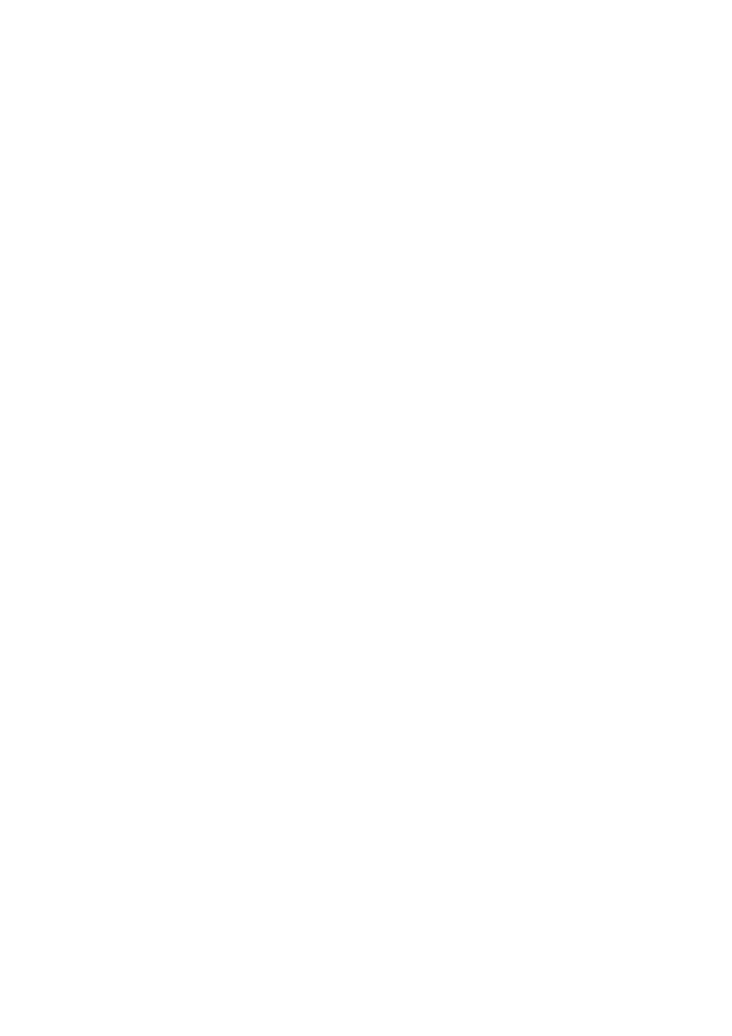| ---- |  |
|------|--|
|      |  |
|      |  |
|      |  |
|      |  |
|      |  |
|      |  |
|      |  |
|      |  |
|      |  |
|      |  |
|      |  |
|      |  |
|      |  |
|      |  |
|      |  |
|      |  |
|      |  |
|      |  |
|      |  |
|      |  |
|      |  |
|      |  |
|      |  |
|      |  |
|      |  |
|      |  |
|      |  |
|      |  |
|      |  |
|      |  |
|      |  |
|      |  |
|      |  |
|      |  |
|      |  |
|      |  |
|      |  |
|      |  |
|      |  |
|      |  |
|      |  |
|      |  |
|      |  |
|      |  |
|      |  |
|      |  |
|      |  |
|      |  |
|      |  |
|      |  |
|      |  |
|      |  |
|      |  |
|      |  |
|      |  |
|      |  |
|      |  |
|      |  |

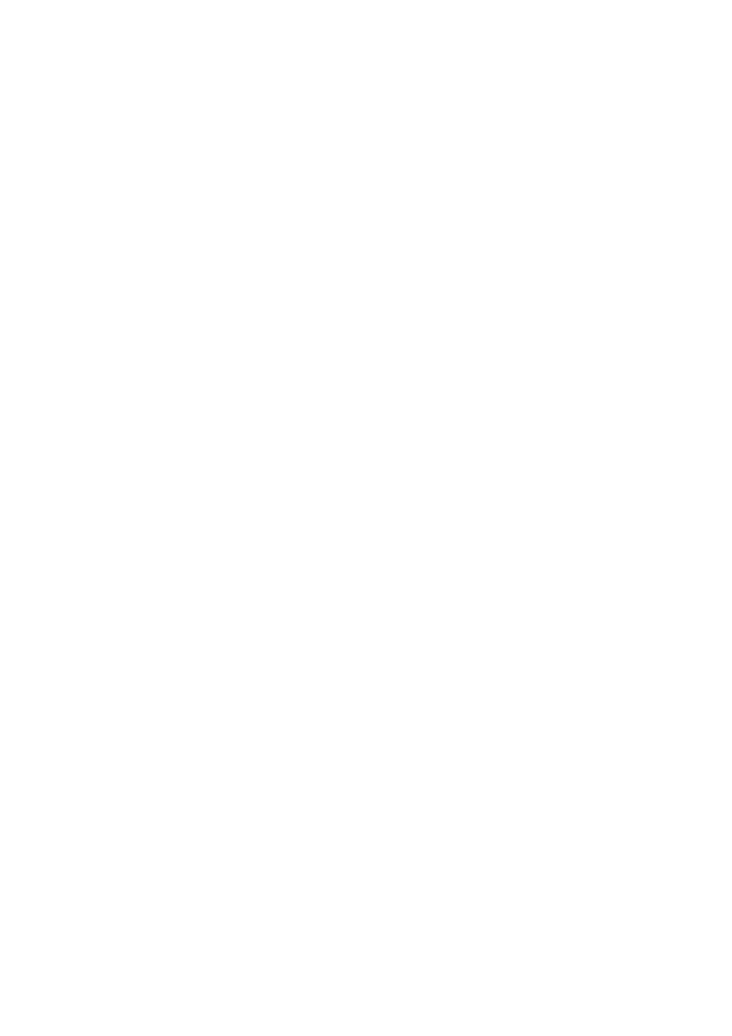| ---- |  |
|------|--|
|      |  |
|      |  |
|      |  |
|      |  |
|      |  |
|      |  |
|      |  |
|      |  |
|      |  |
|      |  |
|      |  |
|      |  |
|      |  |
|      |  |
|      |  |
|      |  |
|      |  |
|      |  |
|      |  |
|      |  |
|      |  |
|      |  |
|      |  |
|      |  |
|      |  |
|      |  |
|      |  |
|      |  |
|      |  |
|      |  |
|      |  |
|      |  |
|      |  |
|      |  |
|      |  |
|      |  |
|      |  |
|      |  |
|      |  |
|      |  |
|      |  |
|      |  |
|      |  |
|      |  |
|      |  |
|      |  |
|      |  |
|      |  |
|      |  |
|      |  |
|      |  |
|      |  |
|      |  |
|      |  |
|      |  |
|      |  |
|      |  |
|      |  |

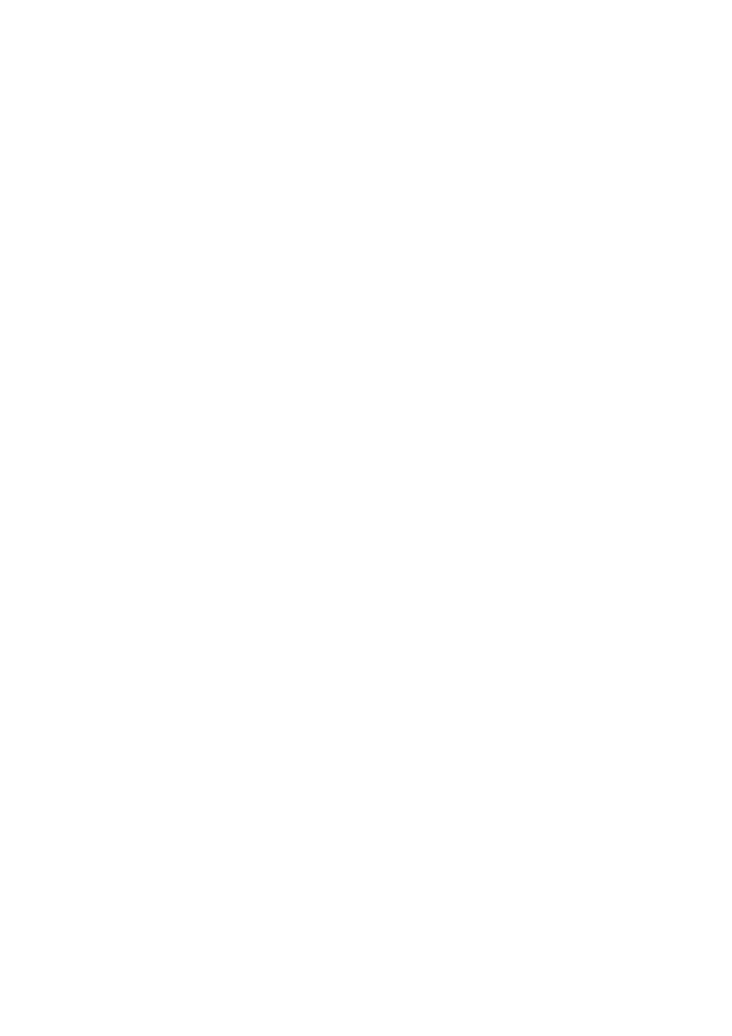| ---- |  |
|------|--|
|      |  |
|      |  |
|      |  |
|      |  |
|      |  |
|      |  |
|      |  |
|      |  |
|      |  |
|      |  |
|      |  |
|      |  |
|      |  |
|      |  |
|      |  |
|      |  |
|      |  |
|      |  |
|      |  |
|      |  |
|      |  |
|      |  |
|      |  |
|      |  |
|      |  |
|      |  |
|      |  |
|      |  |
|      |  |
|      |  |
|      |  |
|      |  |
|      |  |
|      |  |
|      |  |
|      |  |
|      |  |
|      |  |
|      |  |
|      |  |
|      |  |
|      |  |
|      |  |
|      |  |
|      |  |
|      |  |
|      |  |
|      |  |
|      |  |
|      |  |
|      |  |
|      |  |
|      |  |
|      |  |
|      |  |
|      |  |
|      |  |
|      |  |

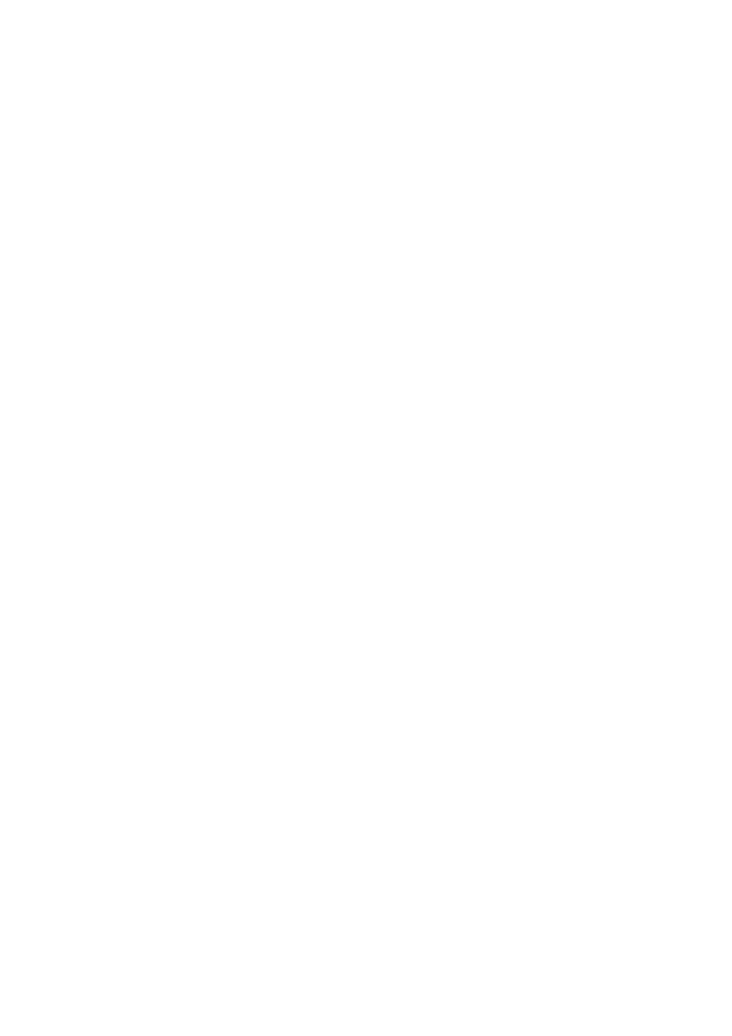| ---- |  |
|------|--|
|      |  |
|      |  |
|      |  |
|      |  |
|      |  |
|      |  |
|      |  |
|      |  |
|      |  |
|      |  |
|      |  |
|      |  |
|      |  |
|      |  |
|      |  |
|      |  |
|      |  |
|      |  |
|      |  |
|      |  |
|      |  |
|      |  |
|      |  |
|      |  |
|      |  |
|      |  |
|      |  |
|      |  |
|      |  |
|      |  |
|      |  |
|      |  |
|      |  |
|      |  |
|      |  |
|      |  |
|      |  |
|      |  |
|      |  |
|      |  |
|      |  |
|      |  |
|      |  |
|      |  |
|      |  |
|      |  |
|      |  |
|      |  |
|      |  |
|      |  |
|      |  |
|      |  |
|      |  |
|      |  |
|      |  |
|      |  |
|      |  |
|      |  |

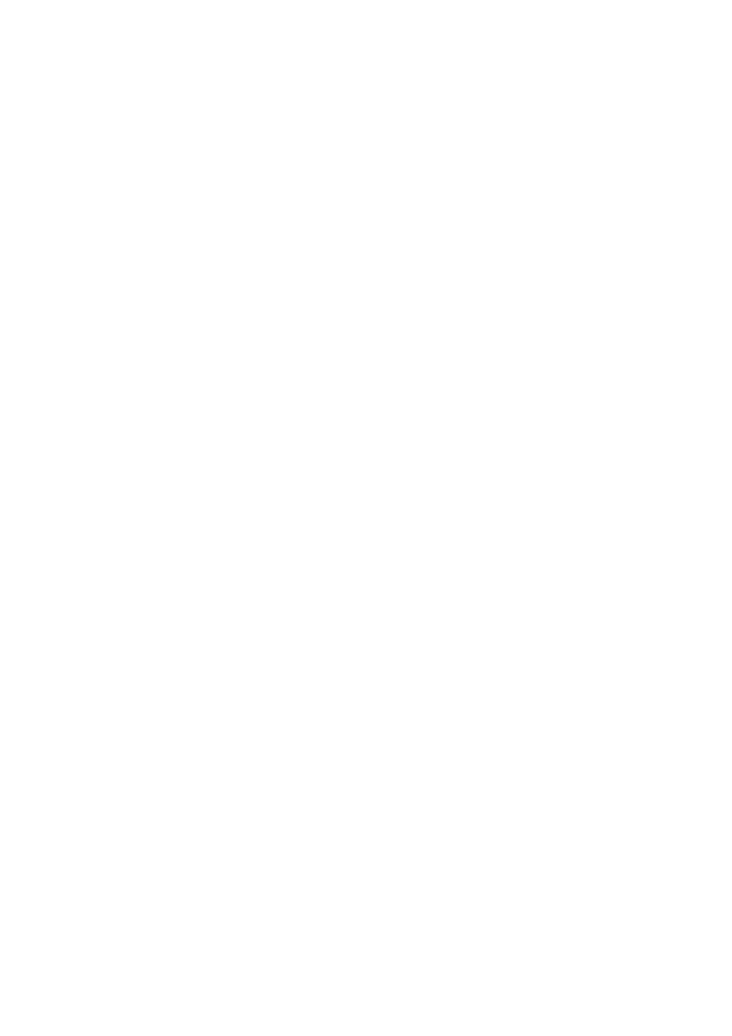| ---- |  |
|------|--|
|      |  |
|      |  |
|      |  |
|      |  |
|      |  |
|      |  |
|      |  |
|      |  |
|      |  |
|      |  |
|      |  |
|      |  |
|      |  |
|      |  |
|      |  |
|      |  |
|      |  |
|      |  |
|      |  |
|      |  |
|      |  |
|      |  |
|      |  |
|      |  |
|      |  |
|      |  |
|      |  |
|      |  |
|      |  |
|      |  |
|      |  |
|      |  |
|      |  |
|      |  |
|      |  |
|      |  |
|      |  |
|      |  |
|      |  |
|      |  |
|      |  |
|      |  |
|      |  |
|      |  |
|      |  |
|      |  |
|      |  |
|      |  |
|      |  |
|      |  |
|      |  |
|      |  |
|      |  |
|      |  |
|      |  |
|      |  |
|      |  |
|      |  |

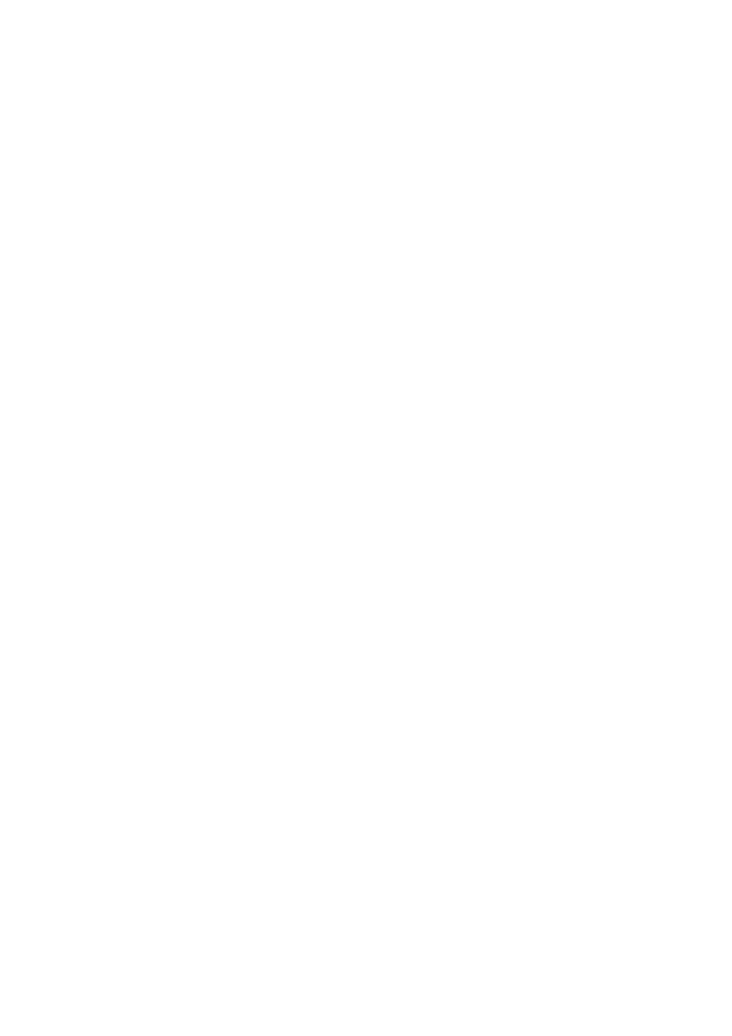| ---- |  |
|------|--|
|      |  |
|      |  |
|      |  |
|      |  |
|      |  |
|      |  |
|      |  |
|      |  |
|      |  |
|      |  |
|      |  |
|      |  |
|      |  |
|      |  |
|      |  |
|      |  |
|      |  |
|      |  |
|      |  |
|      |  |
|      |  |
|      |  |
|      |  |
|      |  |
|      |  |
|      |  |
|      |  |
|      |  |
|      |  |
|      |  |
|      |  |
|      |  |
|      |  |
|      |  |
|      |  |
|      |  |
|      |  |
|      |  |
|      |  |
|      |  |
|      |  |
|      |  |
|      |  |
|      |  |
|      |  |
|      |  |
|      |  |
|      |  |
|      |  |
|      |  |
|      |  |
|      |  |
|      |  |
|      |  |
|      |  |
|      |  |
|      |  |
|      |  |

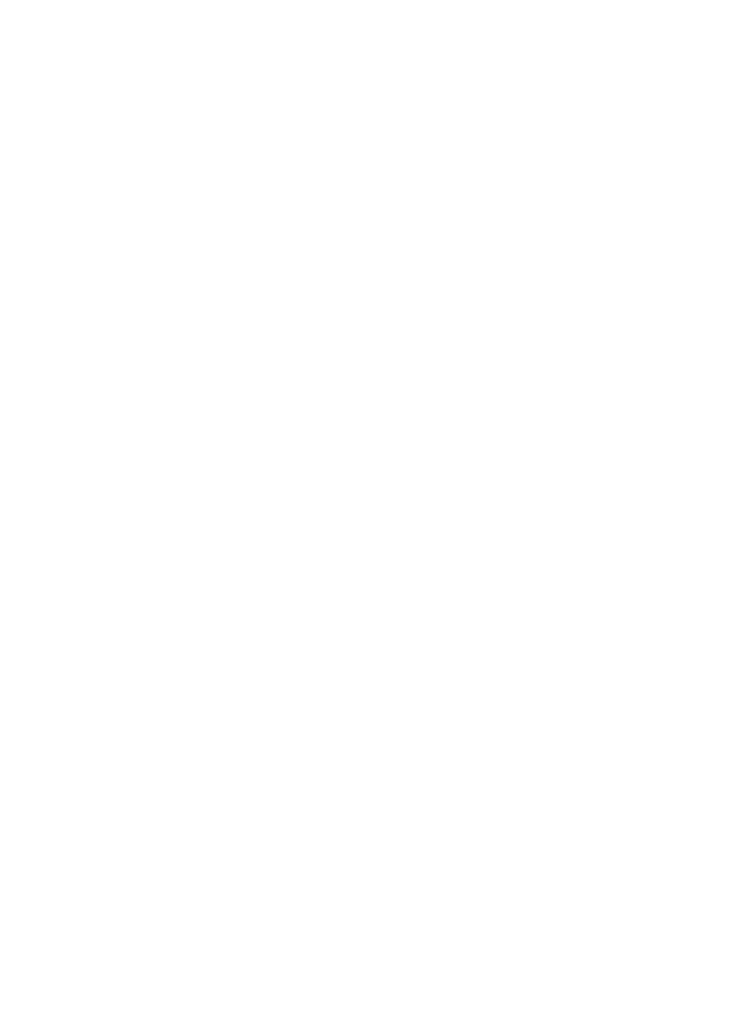| ---- |  |
|------|--|
|      |  |
|      |  |
|      |  |
|      |  |
|      |  |
|      |  |
|      |  |
|      |  |
|      |  |
|      |  |
|      |  |
|      |  |
|      |  |
|      |  |
|      |  |
|      |  |
|      |  |
|      |  |
|      |  |
|      |  |
|      |  |
|      |  |
|      |  |
|      |  |
|      |  |
|      |  |
|      |  |
|      |  |
|      |  |
|      |  |
|      |  |
|      |  |
|      |  |
|      |  |
|      |  |
|      |  |
|      |  |
|      |  |
|      |  |
|      |  |
|      |  |
|      |  |
|      |  |
|      |  |
|      |  |
|      |  |
|      |  |
|      |  |
|      |  |
|      |  |
|      |  |
|      |  |
|      |  |
|      |  |
|      |  |
|      |  |
|      |  |
|      |  |

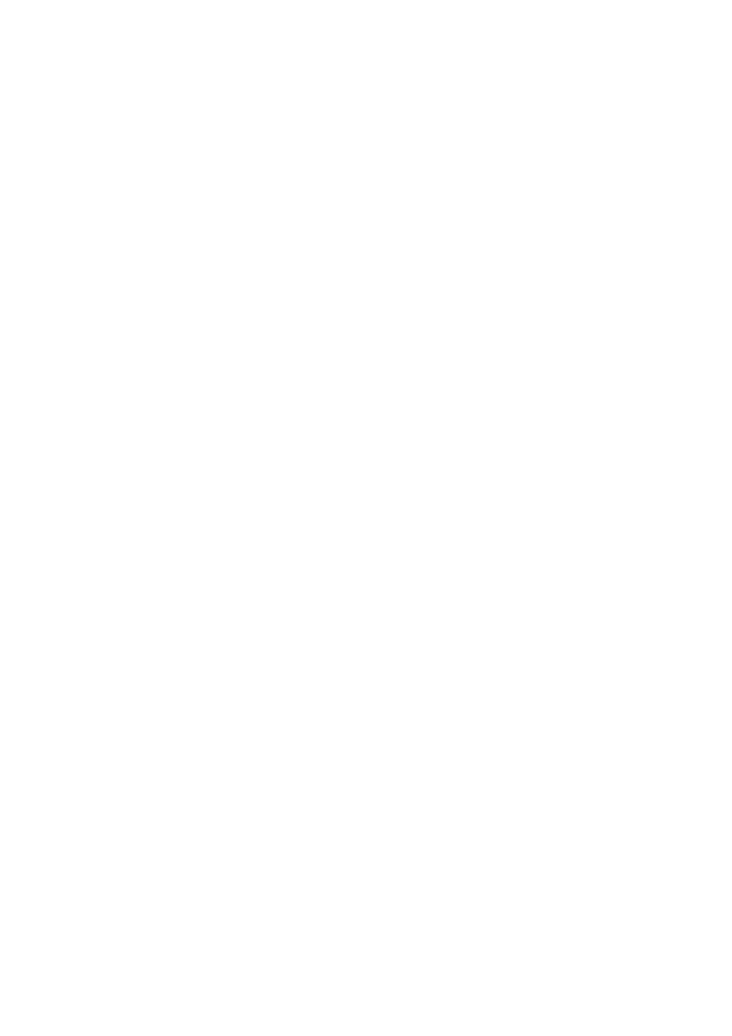| ---- |  |
|------|--|
|      |  |
|      |  |
|      |  |
|      |  |
|      |  |
|      |  |
|      |  |
|      |  |
|      |  |
|      |  |
|      |  |
|      |  |
|      |  |
|      |  |
|      |  |
|      |  |
|      |  |
|      |  |
|      |  |
|      |  |
|      |  |
|      |  |
|      |  |
|      |  |
|      |  |
|      |  |
|      |  |
|      |  |
|      |  |
|      |  |
|      |  |
|      |  |
|      |  |
|      |  |
|      |  |
|      |  |
|      |  |
|      |  |
|      |  |
|      |  |
|      |  |
|      |  |
|      |  |
|      |  |
|      |  |
|      |  |
|      |  |
|      |  |
|      |  |
|      |  |
|      |  |
|      |  |
|      |  |
|      |  |
|      |  |
|      |  |
|      |  |
|      |  |

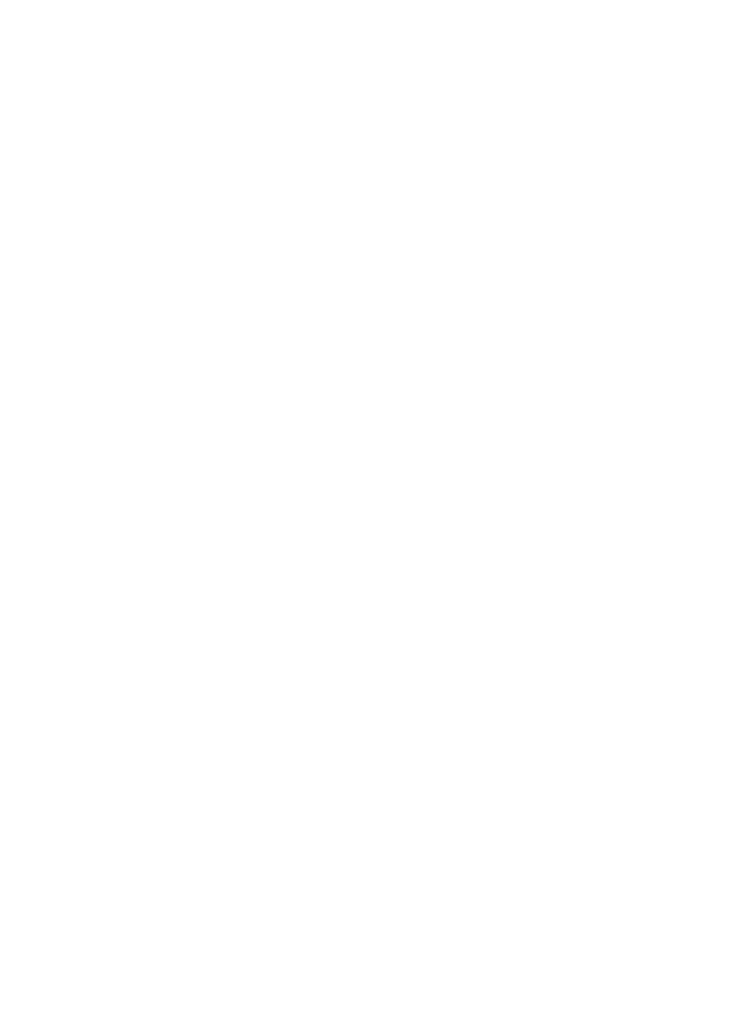| ---- |  |
|------|--|
|      |  |
|      |  |
|      |  |
|      |  |
|      |  |
|      |  |
|      |  |
|      |  |
|      |  |
|      |  |
|      |  |
|      |  |
|      |  |
|      |  |
|      |  |
|      |  |
|      |  |
|      |  |
|      |  |
|      |  |
|      |  |
|      |  |
|      |  |
|      |  |
|      |  |
|      |  |
|      |  |
|      |  |
|      |  |
|      |  |
|      |  |
|      |  |
|      |  |
|      |  |
|      |  |
|      |  |
|      |  |
|      |  |
|      |  |
|      |  |
|      |  |
|      |  |
|      |  |
|      |  |
|      |  |
|      |  |
|      |  |
|      |  |
|      |  |
|      |  |
|      |  |
|      |  |
|      |  |
|      |  |
|      |  |
|      |  |
|      |  |
|      |  |

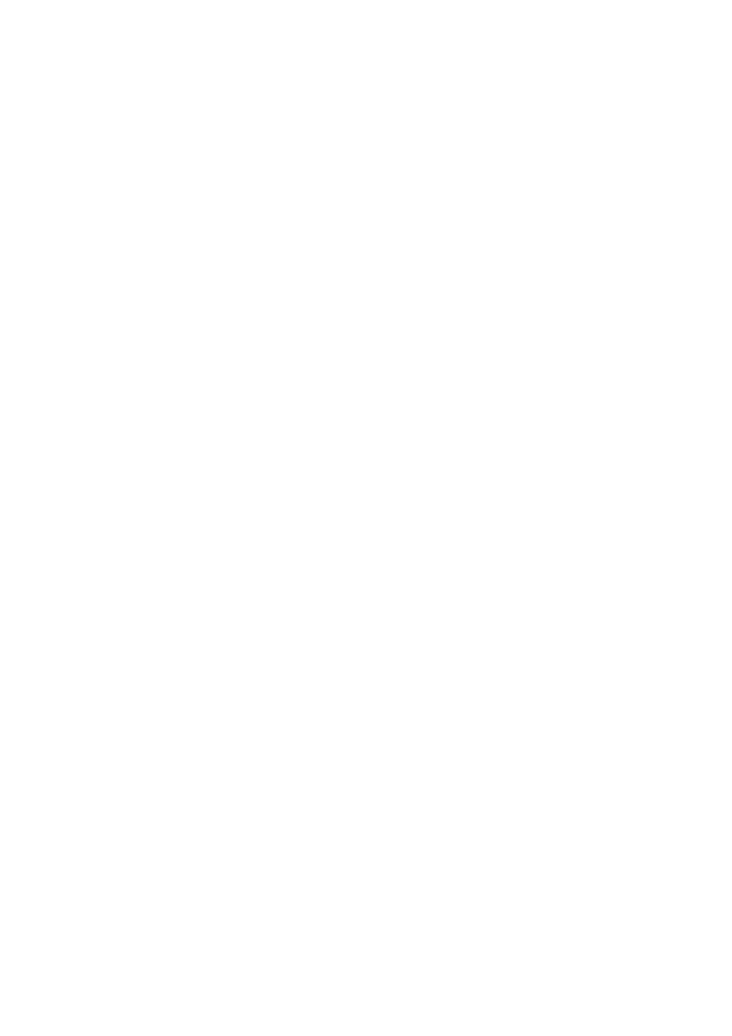| ---- |  |
|------|--|
|      |  |
|      |  |
|      |  |
|      |  |
|      |  |
|      |  |
|      |  |
|      |  |
|      |  |
|      |  |
|      |  |
|      |  |
|      |  |
|      |  |
|      |  |
|      |  |
|      |  |
|      |  |
|      |  |
|      |  |
|      |  |
|      |  |
|      |  |
|      |  |
|      |  |
|      |  |
|      |  |
|      |  |
|      |  |
|      |  |
|      |  |
|      |  |
|      |  |
|      |  |
|      |  |
|      |  |
|      |  |
|      |  |
|      |  |
|      |  |
|      |  |
|      |  |
|      |  |
|      |  |
|      |  |
|      |  |
|      |  |
|      |  |
|      |  |
|      |  |
|      |  |
|      |  |
|      |  |
|      |  |
|      |  |
|      |  |
|      |  |
|      |  |

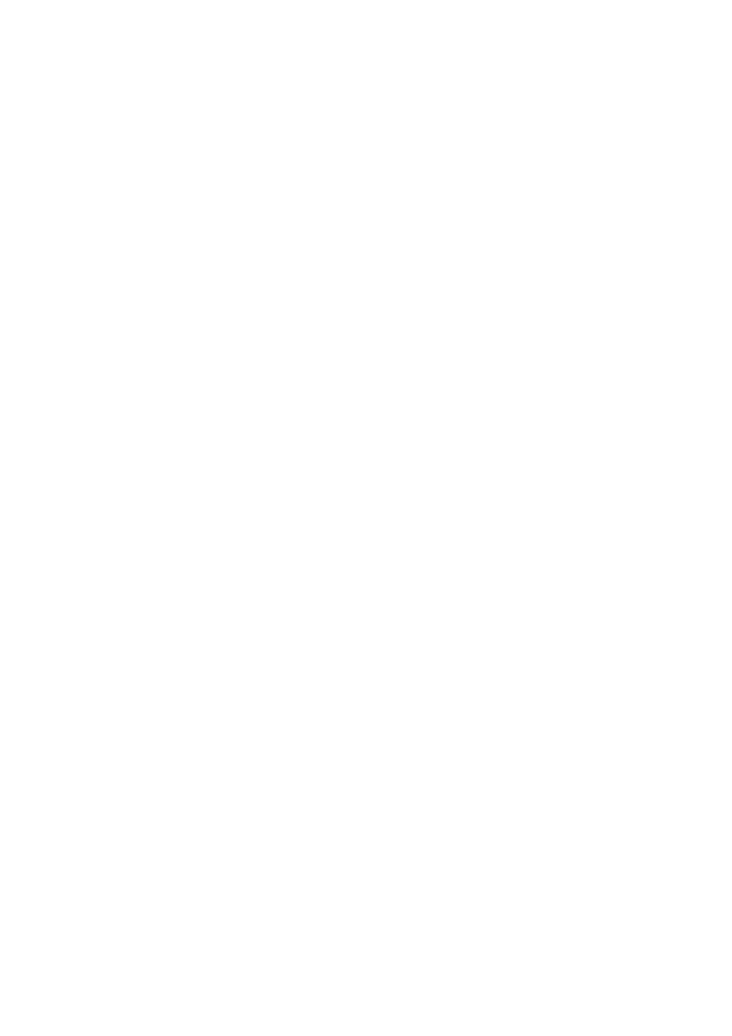| ---- |  |
|------|--|
|      |  |
|      |  |
|      |  |
|      |  |
|      |  |
|      |  |
|      |  |
|      |  |
|      |  |
|      |  |
|      |  |
|      |  |
|      |  |
|      |  |
|      |  |
|      |  |
|      |  |
|      |  |
|      |  |
|      |  |
|      |  |
|      |  |
|      |  |
|      |  |
|      |  |
|      |  |
|      |  |
|      |  |
|      |  |
|      |  |
|      |  |
|      |  |
|      |  |
|      |  |
|      |  |
|      |  |
|      |  |
|      |  |
|      |  |
|      |  |
|      |  |
|      |  |
|      |  |
|      |  |
|      |  |
|      |  |
|      |  |
|      |  |
|      |  |
|      |  |
|      |  |
|      |  |
|      |  |
|      |  |
|      |  |
|      |  |
|      |  |
|      |  |

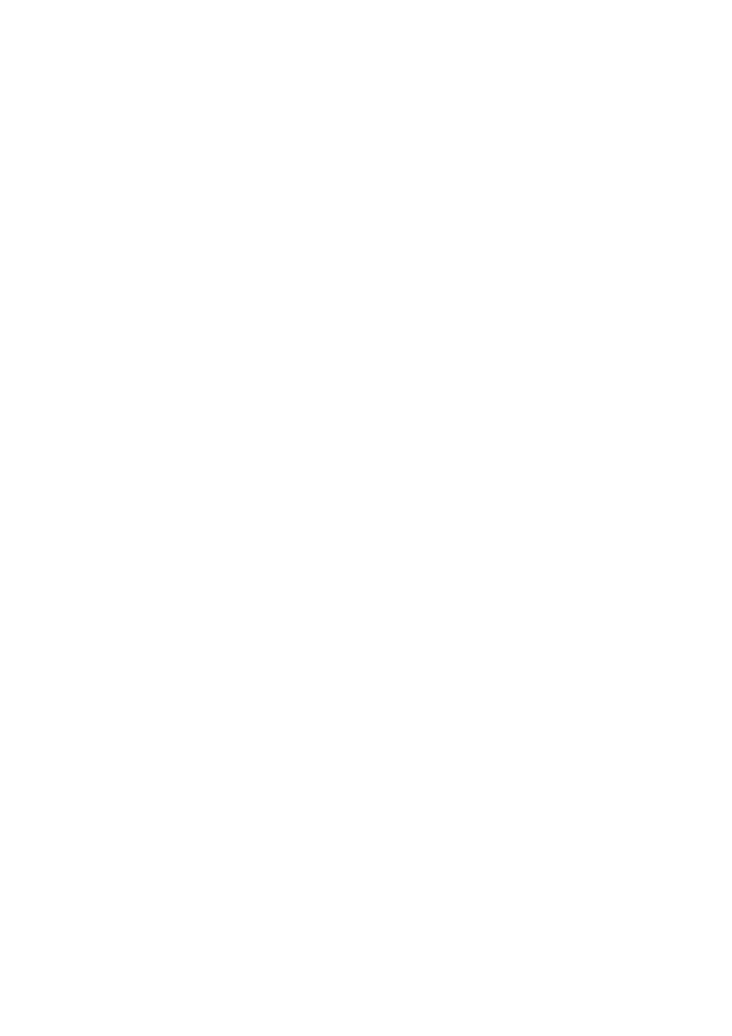| ---- |  |
|------|--|
|      |  |
|      |  |
|      |  |
|      |  |
|      |  |
|      |  |
|      |  |
|      |  |
|      |  |
|      |  |
|      |  |
|      |  |
|      |  |
|      |  |
|      |  |
|      |  |
|      |  |
|      |  |
|      |  |
|      |  |
|      |  |
|      |  |
|      |  |
|      |  |
|      |  |
|      |  |
|      |  |
|      |  |
|      |  |
|      |  |
|      |  |
|      |  |
|      |  |
|      |  |
|      |  |
|      |  |
|      |  |
|      |  |
|      |  |
|      |  |
|      |  |
|      |  |
|      |  |
|      |  |
|      |  |
|      |  |
|      |  |
|      |  |
|      |  |
|      |  |
|      |  |
|      |  |
|      |  |
|      |  |
|      |  |
|      |  |
|      |  |
|      |  |

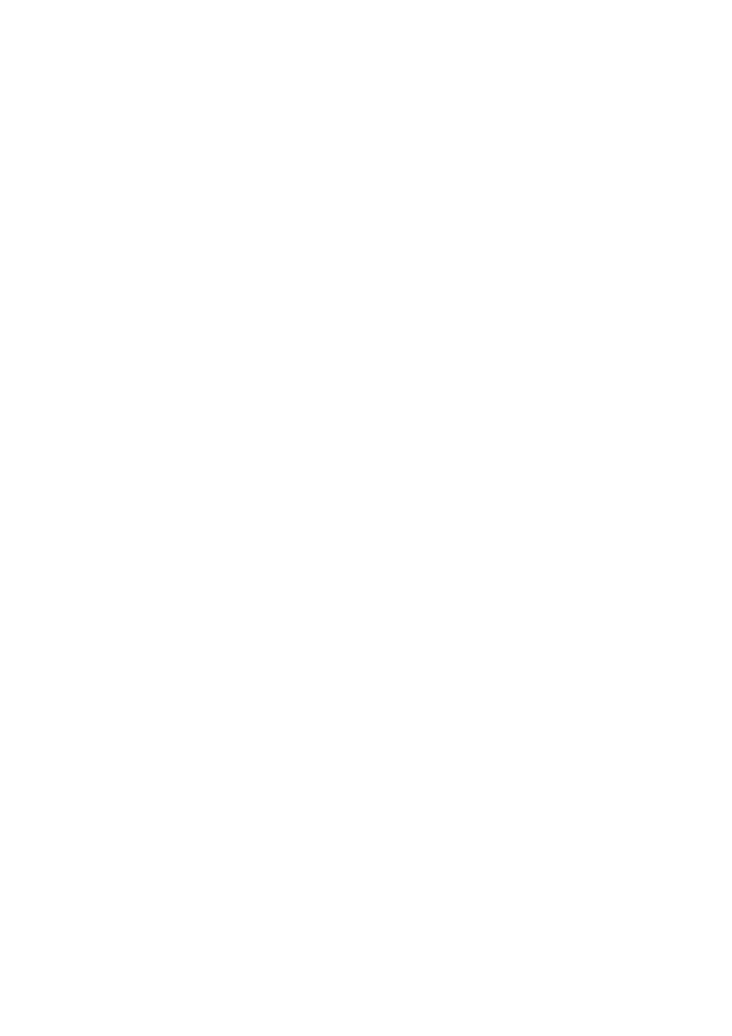| ---- |  |
|------|--|
|      |  |
|      |  |
|      |  |
|      |  |
|      |  |
|      |  |
|      |  |
|      |  |
|      |  |
|      |  |
|      |  |
|      |  |
|      |  |
|      |  |
|      |  |
|      |  |
|      |  |
|      |  |
|      |  |
|      |  |
|      |  |
|      |  |
|      |  |
|      |  |
|      |  |
|      |  |
|      |  |
|      |  |
|      |  |
|      |  |
|      |  |
|      |  |
|      |  |
|      |  |
|      |  |
|      |  |
|      |  |
|      |  |
|      |  |
|      |  |
|      |  |
|      |  |
|      |  |
|      |  |
|      |  |
|      |  |
|      |  |
|      |  |
|      |  |
|      |  |
|      |  |
|      |  |
|      |  |
|      |  |
|      |  |
|      |  |
|      |  |
|      |  |

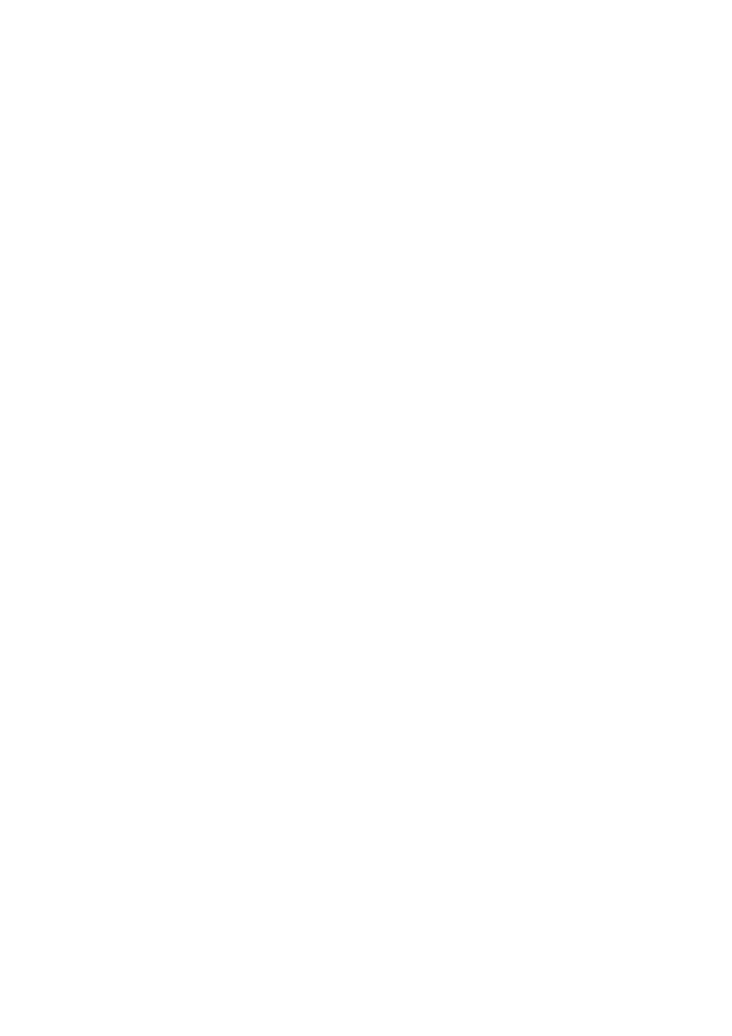| ---- |  |
|------|--|
|      |  |
|      |  |
|      |  |
|      |  |
|      |  |
|      |  |
|      |  |
|      |  |
|      |  |
|      |  |
|      |  |
|      |  |
|      |  |
|      |  |
|      |  |
|      |  |
|      |  |
|      |  |
|      |  |
|      |  |
|      |  |
|      |  |
|      |  |
|      |  |
|      |  |
|      |  |
|      |  |
|      |  |
|      |  |
|      |  |
|      |  |
|      |  |
|      |  |
|      |  |
|      |  |
|      |  |
|      |  |
|      |  |
|      |  |
|      |  |
|      |  |
|      |  |
|      |  |
|      |  |
|      |  |
|      |  |
|      |  |
|      |  |
|      |  |
|      |  |
|      |  |
|      |  |
|      |  |
|      |  |
|      |  |
|      |  |
|      |  |
|      |  |

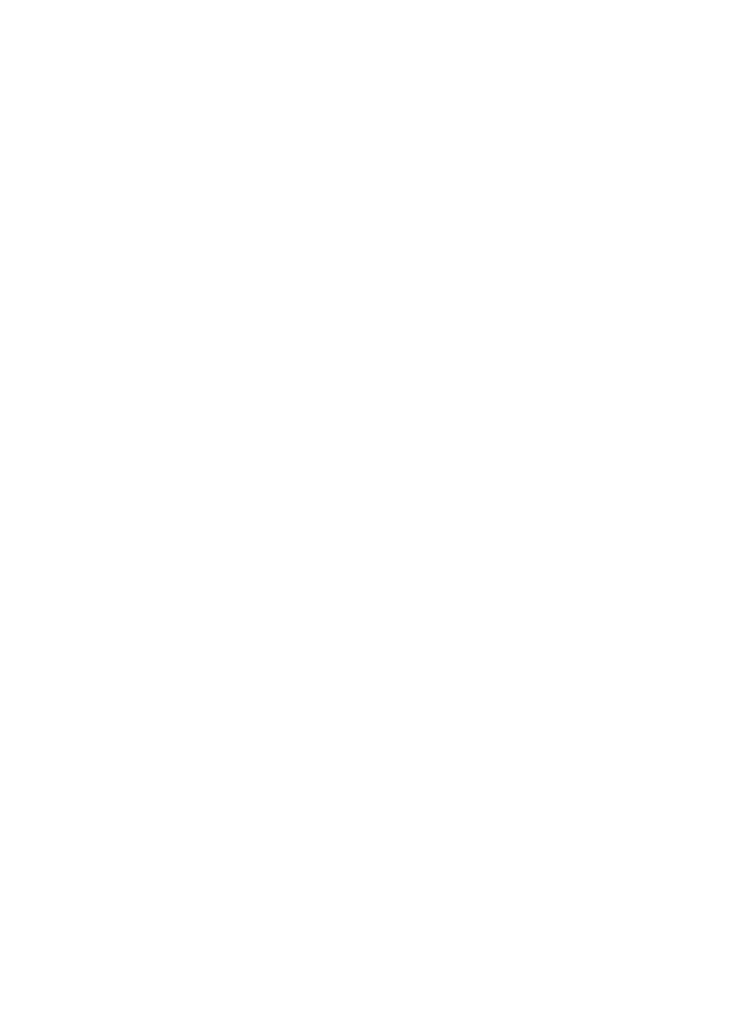| ---- |  |
|------|--|
|      |  |
|      |  |
|      |  |
|      |  |
|      |  |
|      |  |
|      |  |
|      |  |
|      |  |
|      |  |
|      |  |
|      |  |
|      |  |
|      |  |
|      |  |
|      |  |
|      |  |
|      |  |
|      |  |
|      |  |
|      |  |
|      |  |
|      |  |
|      |  |
|      |  |
|      |  |
|      |  |
|      |  |
|      |  |
|      |  |
|      |  |
|      |  |
|      |  |
|      |  |
|      |  |
|      |  |
|      |  |
|      |  |
|      |  |
|      |  |
|      |  |
|      |  |
|      |  |
|      |  |
|      |  |
|      |  |
|      |  |
|      |  |
|      |  |
|      |  |
|      |  |
|      |  |
|      |  |
|      |  |
|      |  |
|      |  |
|      |  |
|      |  |

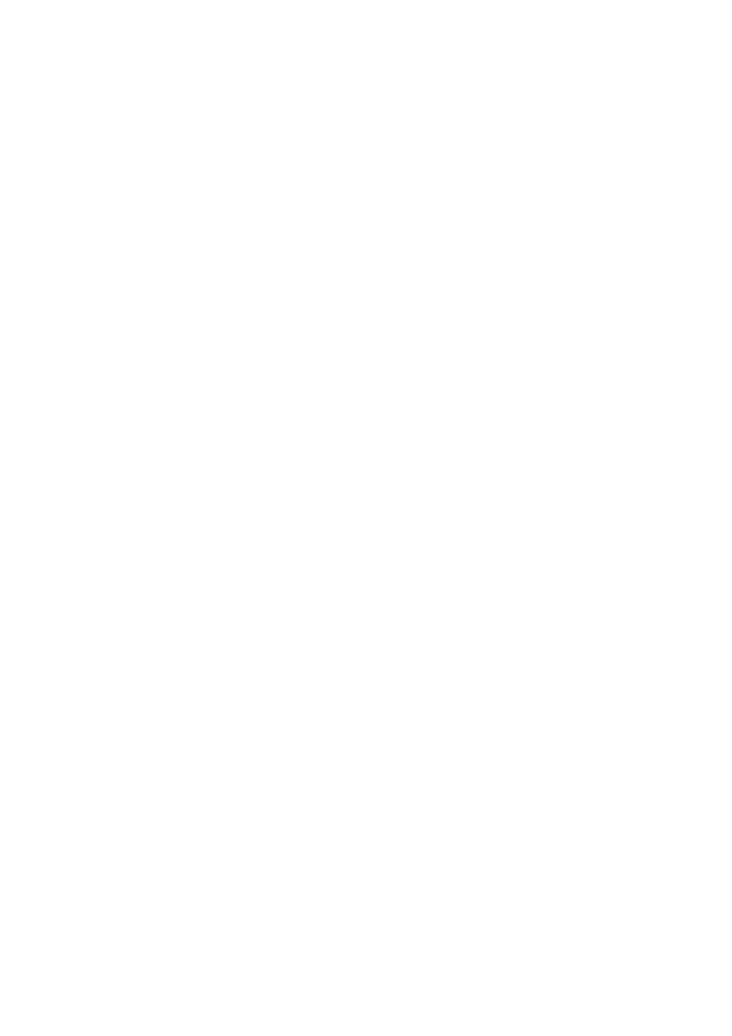| ---- |  |
|------|--|
|      |  |
|      |  |
|      |  |
|      |  |
|      |  |
|      |  |
|      |  |
|      |  |
|      |  |
|      |  |
|      |  |
|      |  |
|      |  |
|      |  |
|      |  |
|      |  |
|      |  |
|      |  |
|      |  |
|      |  |
|      |  |
|      |  |
|      |  |
|      |  |
|      |  |
|      |  |
|      |  |
|      |  |
|      |  |
|      |  |
|      |  |
|      |  |
|      |  |
|      |  |
|      |  |
|      |  |
|      |  |
|      |  |
|      |  |
|      |  |
|      |  |
|      |  |
|      |  |
|      |  |
|      |  |
|      |  |
|      |  |
|      |  |
|      |  |
|      |  |
|      |  |
|      |  |
|      |  |
|      |  |
|      |  |
|      |  |
|      |  |
|      |  |

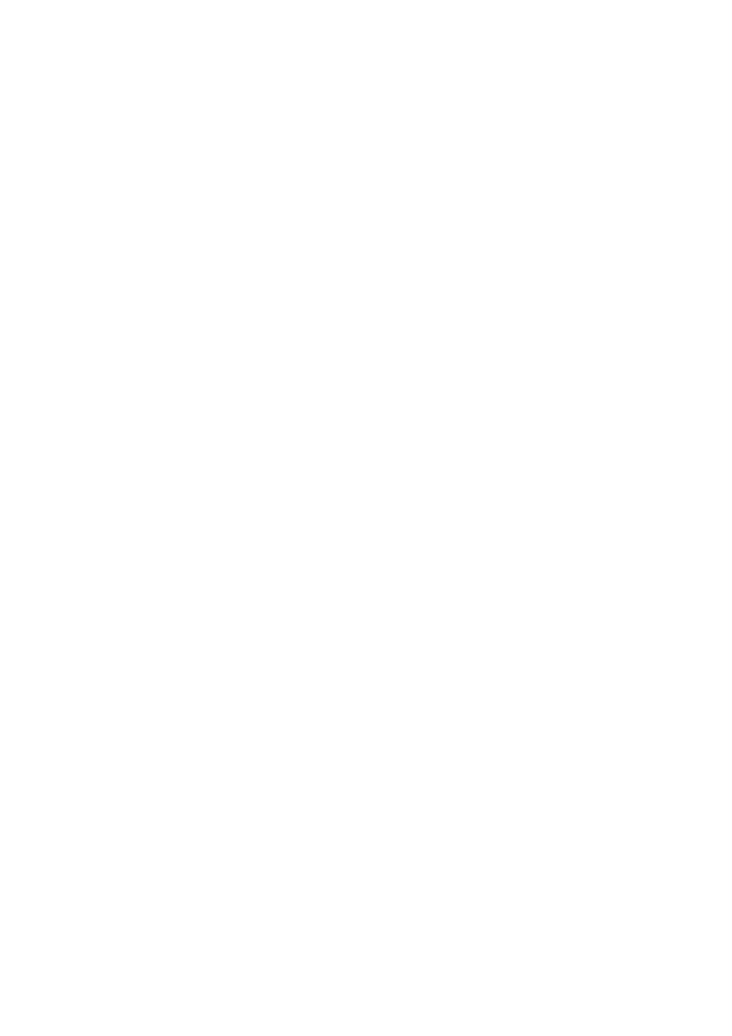| ---- |  |
|------|--|
|      |  |
|      |  |
|      |  |
|      |  |
|      |  |
|      |  |
|      |  |
|      |  |
|      |  |
|      |  |
|      |  |
|      |  |
|      |  |
|      |  |
|      |  |
|      |  |
|      |  |
|      |  |
|      |  |
|      |  |
|      |  |
|      |  |
|      |  |
|      |  |
|      |  |
|      |  |
|      |  |
|      |  |
|      |  |
|      |  |
|      |  |
|      |  |
|      |  |
|      |  |
|      |  |
|      |  |
|      |  |
|      |  |
|      |  |
|      |  |
|      |  |
|      |  |
|      |  |
|      |  |
|      |  |
|      |  |
|      |  |
|      |  |
|      |  |
|      |  |
|      |  |
|      |  |
|      |  |
|      |  |
|      |  |
|      |  |
|      |  |
|      |  |

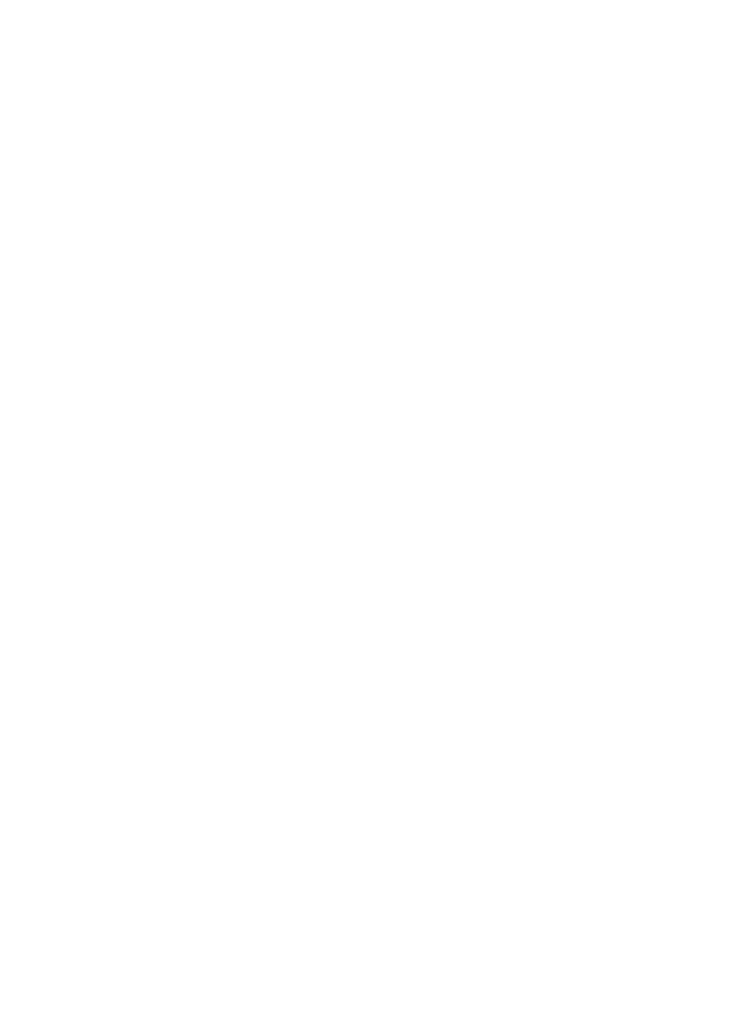| ---- |  |
|------|--|
|      |  |
|      |  |
|      |  |
|      |  |
|      |  |
|      |  |
|      |  |
|      |  |
|      |  |
|      |  |
|      |  |
|      |  |
|      |  |
|      |  |
|      |  |
|      |  |
|      |  |
|      |  |
|      |  |
|      |  |
|      |  |
|      |  |
|      |  |
|      |  |
|      |  |
|      |  |
|      |  |
|      |  |
|      |  |
|      |  |
|      |  |
|      |  |
|      |  |
|      |  |
|      |  |
|      |  |
|      |  |
|      |  |
|      |  |
|      |  |
|      |  |
|      |  |
|      |  |
|      |  |
|      |  |
|      |  |
|      |  |
|      |  |
|      |  |
|      |  |
|      |  |
|      |  |
|      |  |
|      |  |
|      |  |
|      |  |
|      |  |
|      |  |